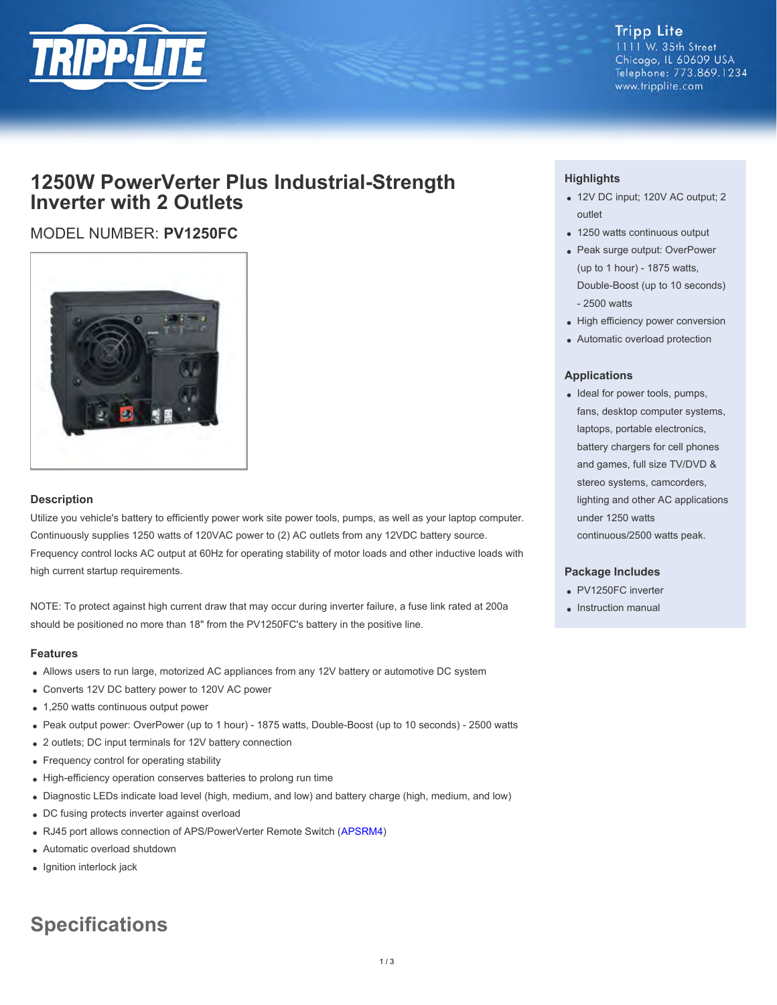

#### **Tripp Lite** 1111 W. 35th Street Chicago, IL 60609 USA Telephone: 773.869.1234 www.tripplite.com

## **1250W PowerVerter Plus Industrial-Strength Inverter with 2 Outlets**

### MODEL NUMBER: **PV1250FC**



#### **Description**

Utilize you vehicle's battery to efficiently power work site power tools, pumps, as well as your laptop computer. Continuously supplies 1250 watts of 120VAC power to (2) AC outlets from any 12VDC battery source. Frequency control locks AC output at 60Hz for operating stability of motor loads and other inductive loads with high current startup requirements.

NOTE: To protect against high current draw that may occur during inverter failure, a fuse link rated at 200a should be positioned no more than 18" from the PV1250FC's battery in the positive line.

#### **Features**

- Allows users to run large, motorized AC appliances from any 12V battery or automotive DC system
- Converts 12V DC battery power to 120V AC power
- 1,250 watts continuous output power
- Peak output power: OverPower (up to 1 hour) 1875 watts, Double-Boost (up to 10 seconds) 2500 watts
- 2 outlets; DC input terminals for 12V battery connection
- Frequency control for operating stability
- High-efficiency operation conserves batteries to prolong run time
- Diagnostic LEDs indicate load level (high, medium, and low) and battery charge (high, medium, and low)
- DC fusing protects inverter against overload
- RJ45 port allows connection of APS/PowerVerter Remote Switch ([APSRM4](file:/C:/STG/jobs/pdfGenerators/model.cfm?txtModelID=2807))
- Automatic overload shutdown
- Ignition interlock jack

# **Specifications**

#### **Highlights**

- 12V DC input; 120V AC output; 2 outlet
- 1250 watts continuous output
- Peak surge output: OverPower (up to 1 hour) - 1875 watts, Double-Boost (up to 10 seconds) - 2500 watts
- High efficiency power conversion
- Automatic overload protection

#### **Applications**

• Ideal for power tools, pumps, fans, desktop computer systems, laptops, portable electronics, battery chargers for cell phones and games, full size TV/DVD & stereo systems, camcorders, lighting and other AC applications under 1250 watts continuous/2500 watts peak.

#### **Package Includes**

- PV1250FC inverter
- Instruction manual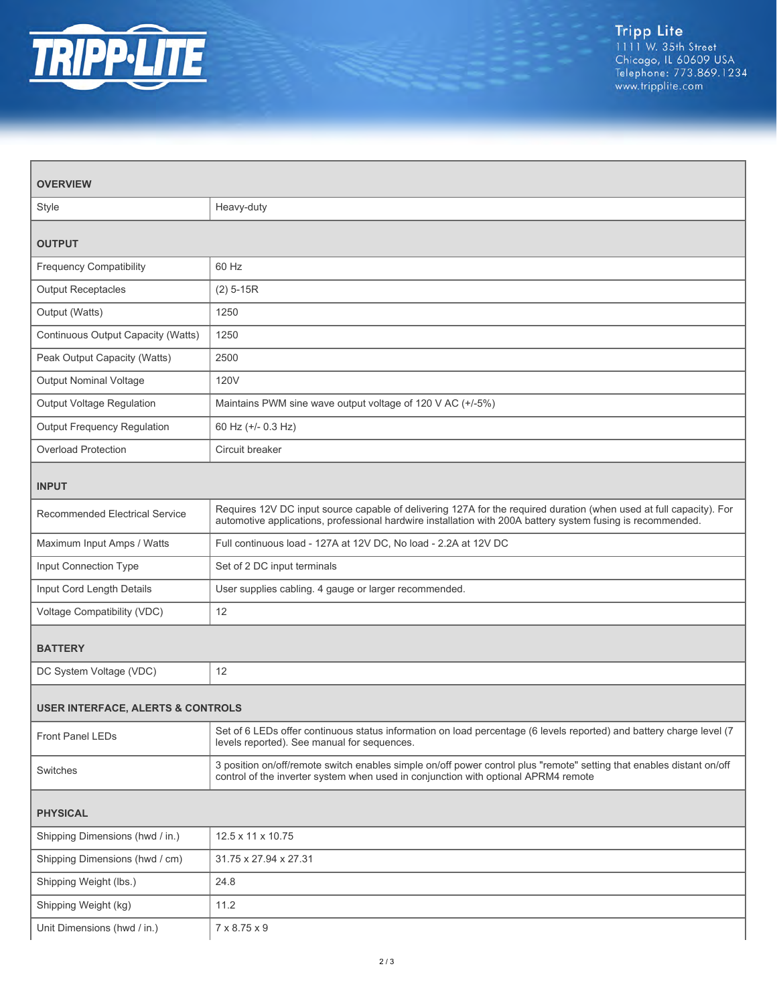

| <b>OVERVIEW</b>                              |                                                                                                                                                                                                                                    |  |
|----------------------------------------------|------------------------------------------------------------------------------------------------------------------------------------------------------------------------------------------------------------------------------------|--|
| Style                                        | Heavy-duty                                                                                                                                                                                                                         |  |
| <b>OUTPUT</b>                                |                                                                                                                                                                                                                                    |  |
| <b>Frequency Compatibility</b>               | 60 Hz                                                                                                                                                                                                                              |  |
| <b>Output Receptacles</b>                    | $(2)$ 5-15R                                                                                                                                                                                                                        |  |
| Output (Watts)                               | 1250                                                                                                                                                                                                                               |  |
| Continuous Output Capacity (Watts)           | 1250                                                                                                                                                                                                                               |  |
| Peak Output Capacity (Watts)                 | 2500                                                                                                                                                                                                                               |  |
| <b>Output Nominal Voltage</b>                | 120V                                                                                                                                                                                                                               |  |
| Output Voltage Regulation                    | Maintains PWM sine wave output voltage of 120 V AC (+/-5%)                                                                                                                                                                         |  |
| Output Frequency Regulation                  | 60 Hz (+/- 0.3 Hz)                                                                                                                                                                                                                 |  |
| <b>Overload Protection</b>                   | Circuit breaker                                                                                                                                                                                                                    |  |
| <b>INPUT</b>                                 |                                                                                                                                                                                                                                    |  |
| <b>Recommended Electrical Service</b>        | Requires 12V DC input source capable of delivering 127A for the required duration (when used at full capacity). For<br>automotive applications, professional hardwire installation with 200A battery system fusing is recommended. |  |
| Maximum Input Amps / Watts                   | Full continuous load - 127A at 12V DC, No load - 2.2A at 12V DC                                                                                                                                                                    |  |
| Input Connection Type                        | Set of 2 DC input terminals                                                                                                                                                                                                        |  |
| Input Cord Length Details                    | User supplies cabling. 4 gauge or larger recommended.                                                                                                                                                                              |  |
| Voltage Compatibility (VDC)                  | 12                                                                                                                                                                                                                                 |  |
| <b>BATTERY</b>                               |                                                                                                                                                                                                                                    |  |
| DC System Voltage (VDC)                      | 12                                                                                                                                                                                                                                 |  |
| <b>USER INTERFACE, ALERTS &amp; CONTROLS</b> |                                                                                                                                                                                                                                    |  |
| Front Panel LEDs                             | Set of 6 LEDs offer continuous status information on load percentage (6 levels reported) and battery charge level (7<br>levels reported). See manual for sequences.                                                                |  |
| Switches                                     | 3 position on/off/remote switch enables simple on/off power control plus "remote" setting that enables distant on/off<br>control of the inverter system when used in conjunction with optional APRM4 remote                        |  |
| <b>PHYSICAL</b>                              |                                                                                                                                                                                                                                    |  |
| Shipping Dimensions (hwd / in.)              | 12.5 x 11 x 10.75                                                                                                                                                                                                                  |  |
| Shipping Dimensions (hwd / cm)               | 31.75 x 27.94 x 27.31                                                                                                                                                                                                              |  |
| Shipping Weight (lbs.)                       | 24.8                                                                                                                                                                                                                               |  |
| Shipping Weight (kg)                         | 11.2                                                                                                                                                                                                                               |  |
| Unit Dimensions (hwd / in.)                  | 7 x 8.75 x 9                                                                                                                                                                                                                       |  |